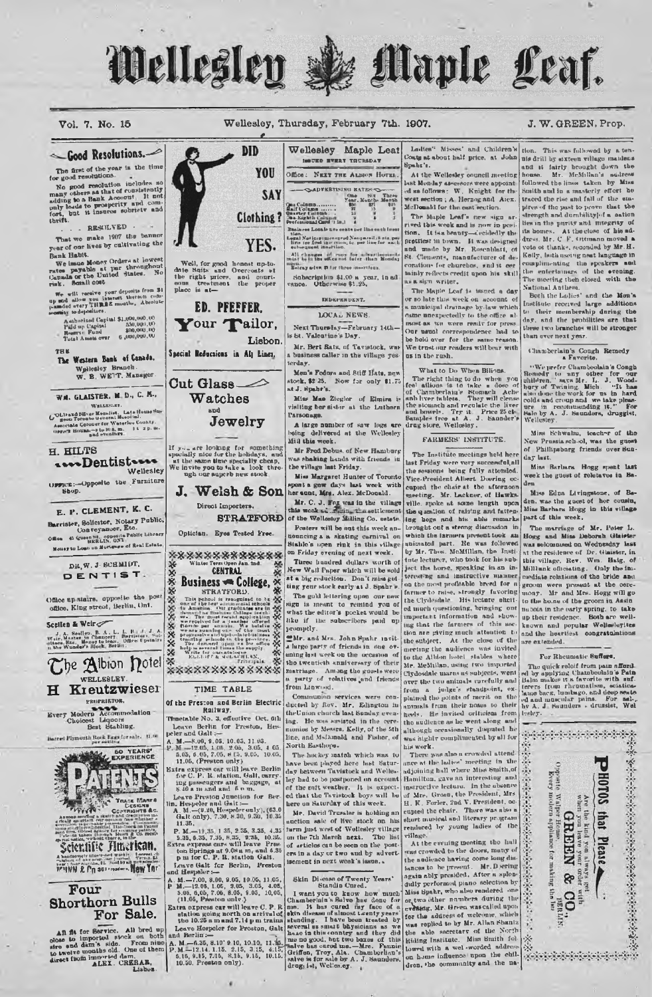

## Vol. 7, No. 15

## Wellesley, Thursday, February 7th. 1907.

## J. W. GREEN, Prop.



A. M .- 6.35, 8.10' 9 10, 10.10, 11.35, 4.15, 4.15, 1.35, 4.15, 7.14, 1.15, 2.15, 3.15, 4.15, 10.50, Preston only).

Standin Carel Control Control Commercial Chamberlain Schurch Control Commercial Control Control Control Control Control Control Control Control Control Control Chamberlain Chamberlain Chamberlain Chamberlain Chamberlain Ch

for the address of weavener, were the Sorthum was replied to by Mr. Allan Shaniz<br>the able secretary of the Northum Hammer<br>highling Institute. Miss Smith fol-<br>howel with a well-worded address<br>on home influence tupon the chi dren, the community and the naThis was followed by a ten-

nis drill by exteen village maidens McMillan's nuilress followed the lines taken by Miss Smith and in a masterly effort he traced the rise and fall of the stapires of the past to prove that the th homes. At the close of his address. Mr. C.F. Ottmann moved a vote of thanks, seconded by Mr. H. Kelly, both useing neat language in complimenting the speakers and the entertainers of the ovening.<br>The meeting then closed with the

Both the Ladies' and the Mon's Both the Latius' and the Mon's<br>Institute received large additions<br>to their membership during the<br>day, and the probilities are that these two branches will be stronger

Chamberlain's Cough Remedy

"We prefer Chamboolain's Congh We prefer Chamboolshi a Conghing-<br>Rennelly Conghing and the best formulation being of Twining, Mich.<br> $\frac{1}{2}$ ,  $\frac{1}{2}$ ,  $\frac{1}{2}$ ,  $\frac{1}{2}$ ,  $\frac{1}{2}$ ,  $\frac{1}{2}$ ,  $\frac{1}{2}$ ,  $\frac{1}{2}$ ,  $\frac{1}{2}$ ,  $\frac{1}{2}$ ,  $\frac{1}{2}$ ,

Miss Schwalm, teacher of the New Prussia school, was the guest of Phillipsburg friends over Bun-

Miss Barbara Hogg spent last reck the guest of reletaves in Ba-

Miss Edna Livingstone, of Baden, was the guest of her cousin,<br>Miss Barbara Hogg in this village

The marriage of Mr. Peter L.<br>Hogg and Miss Deborah Glaister<br>was solommed on Wednesday has at the residence of Dr. Glass ser, in this village, Rev. Wm. Halg, of Mill unk officiating. Only the immediate relations of the bride and groom were present at the cere-<br>mony. Mr and Mrs. Hogg will go to the holine of the groom in Assin<br>maboia in the early spring, to take up their residence. Both are wellknown and popular Wellseleyites and the heartiest congratulations

### For Rheumatic Buffers.

re or accuration is extracted in the property of the property of the property of the property of the property of the property of the state of the state of and the state of and the state of and the state of and the property

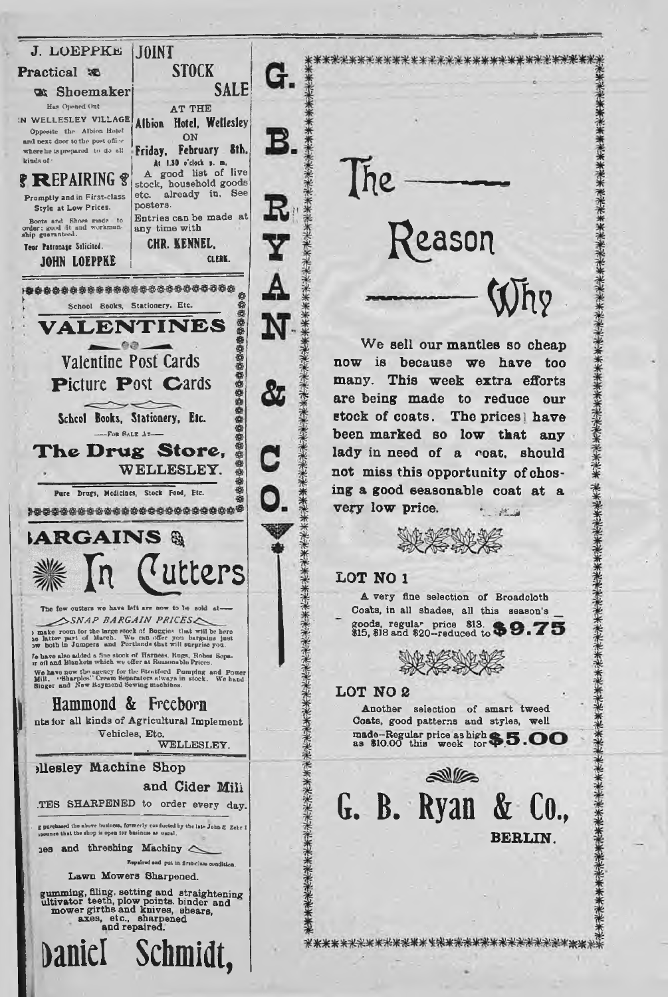

Ihe Reason **« h ?** We sell our mantles so cheap

\*\*\*\*\*\*\*\*\*\*\*\*\*\*\*\*\*\*\*\*\*\*\*\*\*\*\*\*\*\*\*\*\*

now is because we have too many. This week extra efforts **are being made to reduce our stock of coats. The prices! h ave been m arked so low that any** lady in need of a coat, should not miss this opportunity of chos**ing a good seasonable coat at a v ery lo w price. \* i?:.j**

# **LOT NO 1**

A very fine selection of Broadcloth **Coats, in all shades, all this season's \_\_ goods, regular price \$13. A A \$15, \$18 and \$20—reduced to ■ ■\***



## **LOT NO 2**

Another selection of smart tweed Coats, good patterns and styles, well **made-Regular price as high**  $\bullet$  **5**<br>as \$10.00 this week tor  $\bullet$  5



\*\*\*\*\*\*\*\*\*\*\*\*\*\*\*\*\*\*<del>\*\*\*\*\*\*\*\*\*\*\*\*\*\*</del>\*\*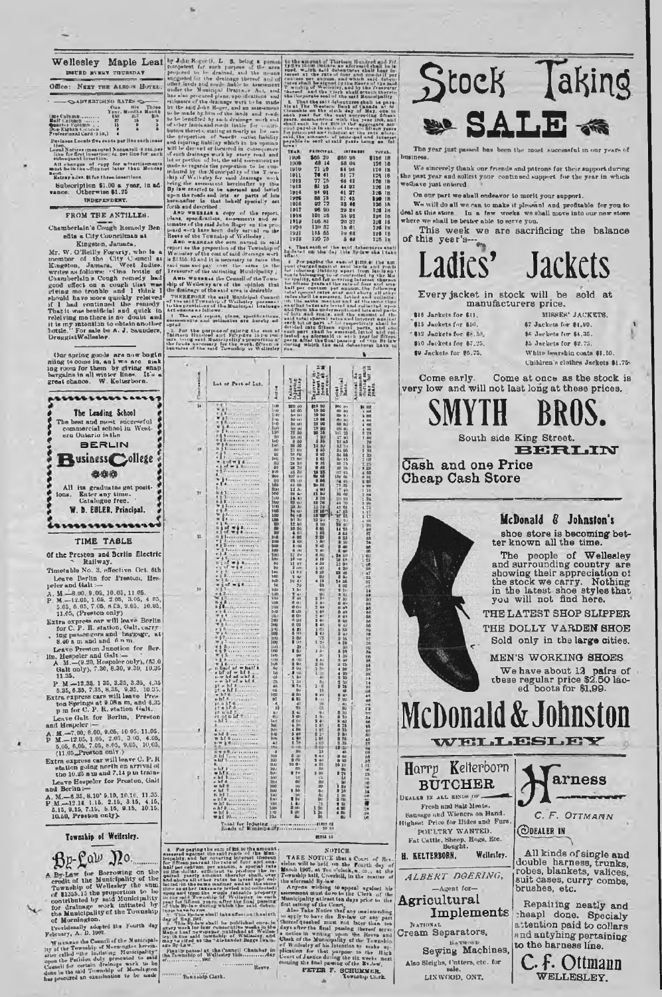| <b>Cape Culumb</b>                              | 8543 | 化学 |    |
|-------------------------------------------------|------|----|----|
| Ball Lolling                                    | 27   | 18 | S) |
|                                                 | ts.  |    |    |
| ¶marter Column<br>One-Eighth Column             |      |    |    |
| Professional Card (1 in.)                       |      |    |    |
| Pusiness Locals Sve cants por Huseach inse      |      |    |    |
| Lowell Madison (monomena) Nonresonal Library to |      |    |    |

**Wellesley Maple Leal ar Ada Keess (i. 1. 6.** being a remain particular for the particular for the highest for the being the remainder of the strength of the strength of the strength of the strength of the strength of the 

Our spring goods are now bogin<br>ming to come in, and we are making room for them by giving smap<br>hargains in all winter lines. It is a<br>great chance. W. Kelterborn.

The Leading School The best and most auccessf<br>commercial school in Wei<br>ern Ontario is the

**BERLIN** 

**Business** College

\$\$0

All its graduates get posit-<br>ms. Enter any time.<br>Catalogue free.

W. D. EULER. Principal. ............

TIME TABLE Of the Preston and Berlin Electric<br>Railway.<br>Timetable No. 3, effective Oct. 6th

Leave Berlin for Presture, Hes-

peler and tial:  $\rightarrow$ <br>
A. M.  $-8.00$ , 9.05, 10.05, 11.05.<br>
P. M.  $-12.05$ , 1.05, 2.05, 3.05, 4.05,<br>
5.03, 6.05, 7.05, 6.65, 9.05. 10.05,<br>
11.05, (Preston only)

11.05, (Preston only)<br>Extra orpers car with leave Berlin<br>for C. P. R. station, Galt, carry-<br> $\frac{1}{2}$  for C. P. R. station, Galt, carry-<br> $\frac{1}{2}$  and band barges<br>Leave Preston Janotion for Berlin, Heppler and Galt<br>in Hep

11.35,<br>P. M.—12.35, 135, 2.35, 3.35, 4.35<br>Extra express cars will leave Pres<br>Extra express cars will leave Press<br>to 2018 m, and 6.35<br>p. m for C. P. R. station (4alt.<br>p. m for C. P. R. station (4alt.<br>determined for P. R. st

(11.05, Preston only)<br>
Extra axprose car will leave C. P. R.<br>
Realism going north on arrival of<br>
the 10.35 a us and 7,114 put from<br>
Leave Eespeler for Preston, Gali<br>
and Berlin :-<br>
A. M.-6.35, 8.10' 9.10, 10.10, 11.35,<br>
P

11.35.

 $\overline{10}$ 

\*\*\*\*\*\*\*\*\*\*\*\*\*\*\*\*\*\*\*\*\*\*\*\*\*\*\*\*\*\*\*\*\*

 $451$ 

黑路

 $\begin{array}{l} \pi\text{-}\mathrm{int}\xspace\\ \pi\text{-}\mathrm{int}\xspace\pi\end{array}$ 

Ä

 $rac{1}{2}$ 

 $n$  of  $71$ 

 $1 - 1.5$ 

 $\frac{1}{100}$  = 16

t pl

 $\frac{1}{2}$ 

14

18

22

11

 $\boldsymbol{h}$ 

opted.<br>
Initians Hundred and Salating the cum of<br>
Tairians Hundred and Patty-are 14-to train<br>
tare, heing estid Municipality's preportion of<br>
the funds neroscary for the court, fifteen to<br>
bentures of the estid Township of

Lut of Part of Lut.

**Active** 譅

1992年1月22日,1月22日,1月22日,1月22日,1月22日,1月22日,1月22日,1月22日,1月22日,1月22日,1月22日,1月22日,1月22日,1月22日,1月22日,1月22日,1月2<br>1992年

est at the filte of tour mich sources<br>compatible algorithm in the second the second second the second state<br>mich of Wellocing, and by the<br>read, and the Corp. unhillatte<br>closens are been of the part dine Trussure<br>|allincetie<br>|olpality<br>|a at til<br>|a dia in<br>!! blant The Western Human and the state of the state of the state of the state of the state of the state of the state of the state of the state of the state of the state of the state of the state of the state of the state o

|             | <b>PADICIPAL</b>  | <b><i><u>ERTERRAT</u></i></b> | TVT. |
|-------------|-------------------|-------------------------------|------|
| <b>1906</b> | \$65 20           | <b>建品0 198</b>                | 8136 |
| 1909        | 68 14             | 58 06                         | 126  |
| 1910        | 71 20             | <b>B4 98</b>                  | 126  |
| 1911        | 70 41             | 51 72                         | 125  |
| 1912        | 77 75             | 48 42                         | 128  |
| 1918        | 81 25             | 44 93                         | 126  |
| 1914        | 84 91             | 41 27                         | 1:3  |
| 1976        | 88 78             | 37.45                         | 120  |
| 1916        | D2 72             | 33 44                         | 126  |
| 1917        | 96 99             | 29 28                         | 120  |
| 191H        | 101 26            | 24,92                         | 126  |
| 1919        | 106 <sub>RI</sub> | 20 37                         | 110  |
| 1920        | 110 57            | 12.61                         | 1:8  |
| 1921        | 118 55            | $1u$ $d\pi$                   | 128  |
| 1923        | 120 75            | 54                            | 128  |

+ That such of the said debactures

 $\delta$  For paying the<br>unit charged again.<br>for informer Haking **songing**<br>17, and for for 1<br>half n<br>And spaces<br>A of part<br>d into differ<br>art shall be<br>art sformed

 $\frac{1}{3}$ 

ite.

timur<br>Barati

**Hotel** 

**SALES AND RESERVED AND RESERVED BY AN INCHANTIFUL PARTIES** 

and the first painting of the first painting and the control of the con-3 mm<br>3 mm<br>3 mm<br>3 mm

Saadada<br>Saadada

Stock Taking

The year just passed has been the most hnaines

We sincerely thank our friends and patrons for their support during<br>past year and solicit your continued support for the year in which ւ<br> wediave just entered.

On our part we shall endeavor to merit your support.

We will do all we can to make it pleased and profitable for you to deal at this store. In a few weeks we shall move into our new store where we shall profit our new store

This week we are sacrificing the balance

| ur unis year                                          |                                                                                       |
|-------------------------------------------------------|---------------------------------------------------------------------------------------|
| Ladies                                                | <b>Jackets</b>                                                                        |
|                                                       | Every jacket in stock will be sold at                                                 |
| \$16 Jackets for \$11.                                | manufacturers price.<br>MISSES' JACKETS.                                              |
| \$15 Jackets for \$10.<br>\$12 Jackets for \$8.50.    | 67 Jackets for \$1,90.<br>\$6 Jackets for \$4.35.                                     |
| \$10 Jackets for \$7.25.<br>\$9 Jackets for \$6.75.   | \$5 Jackets for \$2.75.<br>White bearship coats \$1.50.                               |
|                                                       | Children's clothes Jackets \$1.7                                                      |
| Come early.                                           | Come at once as the stock i<br>very low and will not last long at these prices.       |
| SMYTH                                                 | BRUS.                                                                                 |
|                                                       | South side King Street.<br>e de la fin                                                |
| Cash and one Price                                    |                                                                                       |
| <b>Cheap Cash Store</b>                               |                                                                                       |
|                                                       |                                                                                       |
|                                                       |                                                                                       |
|                                                       | McDonald & Johnston's<br>shoe store is becoming bet                                   |
|                                                       | ter known all the time.                                                               |
|                                                       | of Wellesle<br>The<br>people<br>and surrounding country ar                            |
|                                                       | showing their appreciation o                                                          |
|                                                       | the stock we carry. Nothing<br>in the latest shoe styles that you will not find here. |
|                                                       |                                                                                       |
|                                                       | <b>THE LATEST SHOP SLIPPEI</b>                                                        |
|                                                       | THE DOLLY VARDEN SHOI<br>Sold only in the large cities                                |
|                                                       | MEN'S WORKING SHOES                                                                   |
|                                                       |                                                                                       |
|                                                       | We have about 12 pairs of these regular price \$2.50 lacked boots for \$1,99.         |
|                                                       |                                                                                       |
|                                                       | <b>McDonald &amp; Johnston</b>                                                        |
|                                                       |                                                                                       |
|                                                       | WELLESLEY                                                                             |
| Kelterborn<br>$H$ arr $p$                             |                                                                                       |
| <b>BUTCHER</b>                                        | arness                                                                                |
| DEALER IN ALL RINDS OF                                |                                                                                       |
| Fresh and Salt Meats.<br>Sausage and Wieners on Hand. | C. F. OTTMANN                                                                         |
| Highest Price for Bides and Furs.<br>POULTRY WANTED.  | <b>CODEALER IN</b>                                                                    |
| Fat Cattle, Sheep, Hogs, Etc.<br>Bought.              |                                                                                       |
| Wellesley.<br>H. KELTERBORN.                          | All kinds of single and                                                               |
| ALBERT DØERING,                                       | double harness, trunks<br>robes, blankets, valices<br>suit dases, curry combe         |
|                                                       |                                                                                       |

brushes, etc. Repairing neatly and

heapl done. Specialy attention paid to collars and antyhing pertaining to the harness line.

C. F. Ottmann

WELLESLEY.

Township of Weifesley. Be-Law Do. By-Law for Borrowing on the Transmitter of the Transmitter of the state of 11355.153 the properties the contributed by the Covariant of the Municipality of the Township of the Township of Municipality of the Township of Mu

or mornington,<br>Provisionally adopted the Fourth day<br>|chruary, A. D. 1907.

**Example 12** In sum of \$2,30 the amount of the set of the control of the control of the control of the control of the set of the control of the set of the set of the set of the set of the set of the set of the set of the vied and collected)<br>rateslile property<br>Wellsaley in vach r as ot ber<br>1 and 100m<br>1 and 100m<br>1 and 100 and 100<br>1 and 100 and 100<br>1 and 100 and 100 an<br>webs|l take affect on the sixth.<br>|

NOTICE

NOTICE. The best of the second of the second of the second of the second second of the second of the second of the second of the second of the second of the second of the second of the second of the second of the second o

the final passing or the second Market PETER F. SCHUMMER.



| ŵп                                          | SM<br>S              |
|---------------------------------------------|----------------------|
| 96<br>R6                                    | Cash and<br>Cheap Ca |
| 70<br>ś                                     |                      |
| 計算<br>15<br>ğu<br>M<br>Du<br>A6<br>UŚ<br>1u |                      |
| ю<br>ø<br>M<br>ω<br>ш                       |                      |
| 10<br>8<br>n<br>30<br>w                     |                      |
| 71<br>W.<br>ĸ<br>感傷医感<br>$\frac{10}{60}$    | <b>McDol</b>         |
| 75<br>3<br>di t                             |                      |

 $-A$ gent for-

Agricultural Implements

NATIONAL Cream Separators, **HAVS** Sewing Machines,

Also Sleighs, Cutters, etc. for LINWOOD, ONT.



day of May 1991.<br>This By-development on the sixth and the sixth of the ball field once in the sixth of May 1991 is the level of May 1991 is the control of May 1991 is the control of the control of the control of the sixth

Amusica<br>Auctorate<br>Tart<br>Tart